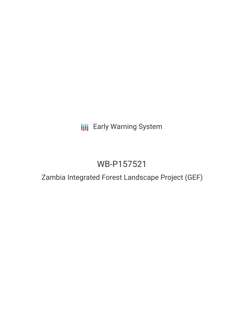**III** Early Warning System

# WB-P157521

# Zambia Integrated Forest Landscape Project (GEF)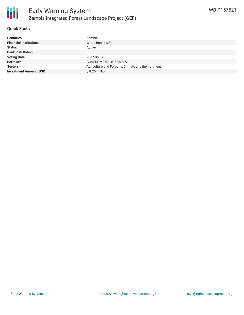

#### **Quick Facts**

| Zambia                                            |
|---------------------------------------------------|
| World Bank (WB)                                   |
| Active                                            |
| B                                                 |
| 2017-05-04                                        |
| <b>GOVERNMENT OF ZAMBIA</b>                       |
| Agriculture and Forestry, Climate and Environment |
| $$8.25$ million                                   |
|                                                   |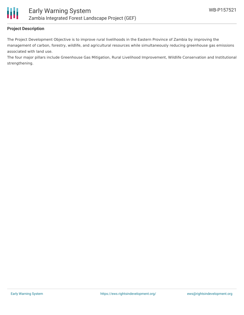

## **Project Description**

The Project Development Objective is to improve rural livelihoods in the Eastern Province of Zambia by improving the management of carbon, forestry, wildlife, and agricultural resources while simultaneously reducing greenhouse gas emissions associated with land use.

The four major pillars include Greenhouse Gas Mitigation, Rural Livelihood Improvement, Wildlife Conservation and Institutional strengthening.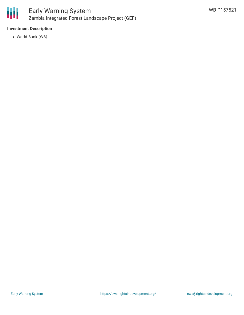

## **Investment Description**

World Bank (WB)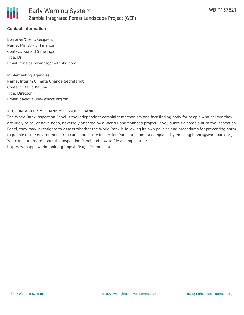

## **Contact Information**

Borrower/Client/Recipient Name: Ministry of Finance Contact: Ronald Simwinga Title: Dr. Email: ronaldsimwinga@mofnphq.com

Implementing Agencies Name: Interim Climate Change Secretariat Contact: David Kaluba Title: Director Email: davidkaluba@znccs.org.zm

#### ACCOUNTABILITY MECHANISM OF WORLD BANK

The World Bank Inspection Panel is the independent complaint mechanism and fact-finding body for people who believe they are likely to be, or have been, adversely affected by a World Bank-financed project. If you submit a complaint to the Inspection Panel, they may investigate to assess whether the World Bank is following its own policies and procedures for preventing harm to people or the environment. You can contact the Inspection Panel or submit a complaint by emailing ipanel@worldbank.org. You can learn more about the Inspection Panel and how to file a complaint at: http://ewebapps.worldbank.org/apps/ip/Pages/Home.aspx.